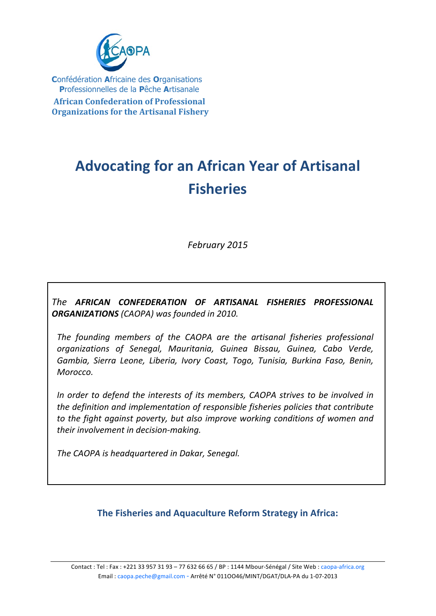

**C**onfédération **A**fricaine des **O**rganisations **Professionnelles de la Pêche Artisanale African Confederation of Professional Organizations for the Artisanal Fishery** 

# **Advocating for an African Year of Artisanal Fisheries**

*February 2015*

*The AFRICAN CONFEDERATION OF ARTISANAL FISHERIES PROFESSIONAL*  **ORGANIZATIONS** (CAOPA) was founded in 2010.

The founding members of the CAOPA are the artisanal fisheries professional *organizations of Senegal, Mauritania, Guinea Bissau, Guinea, Cabo Verde, Gambia, Sierra Leone, Liberia, Ivory Coast, Togo, Tunisia, Burkina Faso, Benin, Morocco.* 

In order to defend the interests of its members, CAOPA strives to be involved in *the definition and implementation of responsible fisheries policies that contribute to* the fight against poverty, but also improve working conditions of women and *their involvement in decision-making.*

The CAOPA is headquartered in Dakar, Senegal.

**The Fisheries and Aquaculture Reform Strategy in Africa:**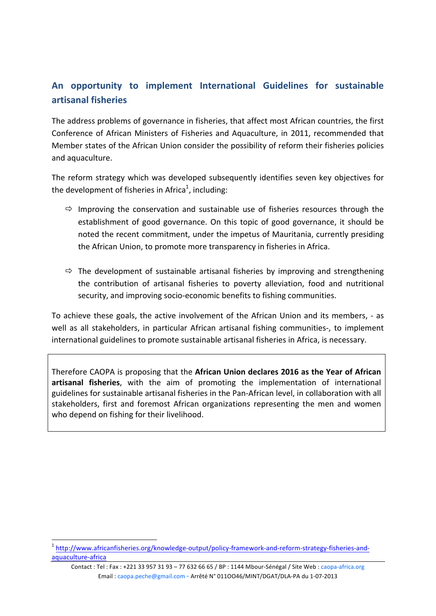# An opportunity to implement International Guidelines for sustainable **artisanal fisheries**

The address problems of governance in fisheries, that affect most African countries, the first Conference of African Ministers of Fisheries and Aquaculture, in 2011, recommended that Member states of the African Union consider the possibility of reform their fisheries policies and aquaculture.

The reform strategy which was developed subsequently identifies seven key objectives for the development of fisheries in Africa $^1$ , including:

- $\Rightarrow$  Improving the conservation and sustainable use of fisheries resources through the establishment of good governance. On this topic of good governance, it should be noted the recent commitment, under the impetus of Mauritania, currently presiding the African Union, to promote more transparency in fisheries in Africa.
- $\Rightarrow$  The development of sustainable artisanal fisheries by improving and strengthening the contribution of artisanal fisheries to poverty alleviation, food and nutritional security, and improving socio-economic benefits to fishing communities.

To achieve these goals, the active involvement of the African Union and its members, - as well as all stakeholders, in particular African artisanal fishing communities-, to implement international guidelines to promote sustainable artisanal fisheries in Africa, is necessary.

Therefore CAOPA is proposing that the African Union declares 2016 as the Year of African artisanal fisheries, with the aim of promoting the implementation of international guidelines for sustainable artisanal fisheries in the Pan-African level, in collaboration with all stakeholders, first and foremost African organizations representing the men and women who depend on fishing for their livelihood.

<u> 1989 - Jan Samuel Barbara, margaret e</u>

<sup>1</sup> http://www.africanfisheries.org/knowledge-output/policy-framework-and-reform-strategy-fisheries-andaquaculture-africa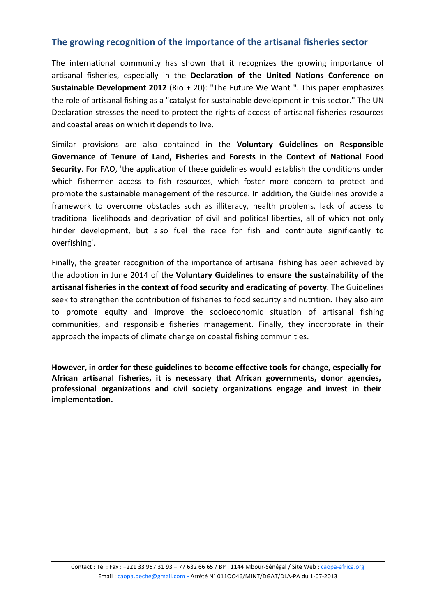## **The growing recognition of the importance of the artisanal fisheries sector**

The international community has shown that it recognizes the growing importance of artisanal fisheries, especially in the Declaration of the United Nations Conference on **Sustainable Development 2012** (Rio + 20): "The Future We Want ". This paper emphasizes the role of artisanal fishing as a "catalyst for sustainable development in this sector." The UN Declaration stresses the need to protect the rights of access of artisanal fisheries resources and coastal areas on which it depends to live.

Similar provisions are also contained in the **Voluntary Guidelines on Responsible** Governance of Tenure of Land, Fisheries and Forests in the Context of National Food **Security**. For FAO, 'the application of these guidelines would establish the conditions under which fishermen access to fish resources, which foster more concern to protect and promote the sustainable management of the resource. In addition, the Guidelines provide a framework to overcome obstacles such as illiteracy, health problems, lack of access to traditional livelihoods and deprivation of civil and political liberties, all of which not only hinder development, but also fuel the race for fish and contribute significantly to overfishing'.

Finally, the greater recognition of the importance of artisanal fishing has been achieved by the adoption in June 2014 of the **Voluntary Guidelines to ensure the sustainability of the** artisanal fisheries in the context of food security and eradicating of poverty. The Guidelines seek to strengthen the contribution of fisheries to food security and nutrition. They also aim to promote equity and improve the socioeconomic situation of artisanal fishing communities, and responsible fisheries management. Finally, they incorporate in their approach the impacts of climate change on coastal fishing communities.

However, in order for these guidelines to become effective tools for change, especially for African artisanal fisheries, it is necessary that African governments, donor agencies, professional organizations and civil society organizations engage and invest in their **implementation.**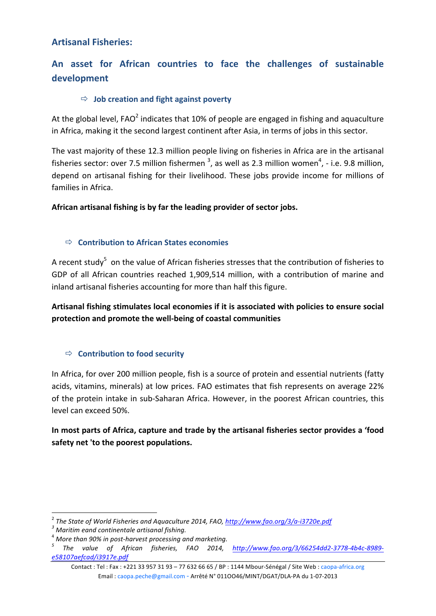# **Artisanal Fisheries:**

# **An asset for African countries to face the challenges of sustainable development**

#### $\Rightarrow$  Job creation and fight against poverty

At the global level,  $FAO^2$  indicates that 10% of people are engaged in fishing and aquaculture in Africa, making it the second largest continent after Asia, in terms of jobs in this sector.

The vast majority of these 12.3 million people living on fisheries in Africa are in the artisanal fisheries sector: over 7.5 million fishermen  $^3$ , as well as 2.3 million women<sup>4</sup>, - i.e. 9.8 million, depend on artisanal fishing for their livelihood. These jobs provide income for millions of families in Africa.

African artisanal fishing is by far the leading provider of sector jobs.

#### $\Rightarrow$  **Contribution to African States economies**

A recent study<sup>5</sup> on the value of African fisheries stresses that the contribution of fisheries to GDP of all African countries reached 1,909,514 million, with a contribution of marine and inland artisanal fisheries accounting for more than half this figure.

Artisanal fishing stimulates local economies if it is associated with policies to ensure social **protection and promote the well-being of coastal communities**

#### $\Rightarrow$  **Contribution to food security**

In Africa, for over 200 million people, fish is a source of protein and essential nutrients (fatty acids, vitamins, minerals) at low prices. FAO estimates that fish represents on average 22% of the protein intake in sub-Saharan Africa. However, in the poorest African countries, this level can exceed 50%.

# In most parts of Africa, capture and trade by the artisanal fisheries sector provides a 'food safety net 'to the poorest populations.

<u> 1989 - Jan Samuel Barbara, margaret e</u>

<sup>&</sup>lt;sup>2</sup> The State of World Fisheries and Aquaculture 2014, FAO, <u>http://www.fao.org/3/a-i3720e.pdf</u><br><sup>3</sup> Maritim eand continentale artisanal fishing.<br><sup>4</sup> More than 90% in post-harvest processing and marketing.<br><sup>5</sup> The value of *e58107aefcad/i3917e.pdf*

Contact : Tel : Fax : +221 33 957 31 93 - 77 632 66 65 / BP : 1144 Mbour-Sénégal / Site Web : caopa-africa.org Email: caopa.peche@gmail.com - Arrêté N° 011OO46/MINT/DGAT/DLA-PA du 1-07-2013